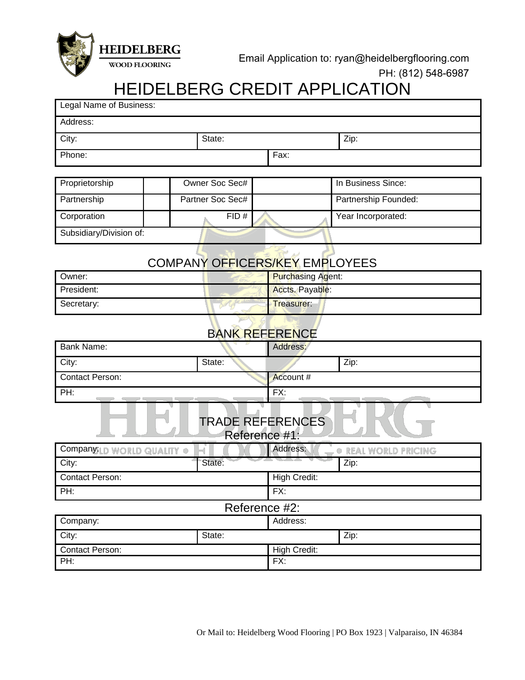

## PH: (812) 548-6987

## HEIDELBERG CREDIT APPLICATION

| Legal Name of Business:                  |                                                                       |                     |                          |  |  |  |  |
|------------------------------------------|-----------------------------------------------------------------------|---------------------|--------------------------|--|--|--|--|
| Address:                                 |                                                                       |                     |                          |  |  |  |  |
| City:                                    | State:                                                                |                     | Zip:                     |  |  |  |  |
| Phone:                                   |                                                                       | Fax:                |                          |  |  |  |  |
|                                          |                                                                       |                     |                          |  |  |  |  |
| Proprietorship                           | Owner Soc Sec#                                                        |                     | In Business Since:       |  |  |  |  |
| Partnership                              | Partner Soc Sec#                                                      |                     | Partnership Founded:     |  |  |  |  |
| Corporation                              | FID#                                                                  |                     | Year Incorporated:       |  |  |  |  |
| Subsidiary/Division of:                  |                                                                       |                     |                          |  |  |  |  |
|                                          |                                                                       |                     |                          |  |  |  |  |
| COMPANY OFFICERS/KEY EMPLOYEES           |                                                                       |                     |                          |  |  |  |  |
| Owner:                                   |                                                                       |                     | <b>Purchasing Agent:</b> |  |  |  |  |
| President:                               |                                                                       | Accts. Payable:     |                          |  |  |  |  |
| Secretary:                               |                                                                       | Treasurer:          |                          |  |  |  |  |
|                                          |                                                                       |                     |                          |  |  |  |  |
|                                          | <b>BANK REFERENCE</b>                                                 |                     |                          |  |  |  |  |
| <b>Bank Name:</b>                        |                                                                       | Address:            |                          |  |  |  |  |
| City:                                    | State:                                                                |                     | Zip:                     |  |  |  |  |
| <b>Contact Person:</b>                   |                                                                       | Account #           |                          |  |  |  |  |
| PH:                                      |                                                                       | FX:                 |                          |  |  |  |  |
| <b>TRADE REFERENCES</b><br>Reference #1: |                                                                       |                     |                          |  |  |  |  |
|                                          | Address:<br>Company:LD WORLD QUALITY .<br><b>. REAL WORLD PRICING</b> |                     |                          |  |  |  |  |
| City:                                    | State:                                                                |                     | Zip:                     |  |  |  |  |
| <b>Contact Person:</b>                   |                                                                       | <b>High Credit:</b> |                          |  |  |  |  |
| PH:                                      |                                                                       | FX:                 |                          |  |  |  |  |
| Reference #2:                            |                                                                       |                     |                          |  |  |  |  |
| Company:                                 |                                                                       | Address:            |                          |  |  |  |  |
| City:                                    | State:                                                                |                     | Zip:                     |  |  |  |  |
| Contact Person:                          |                                                                       | <b>High Credit:</b> |                          |  |  |  |  |
| PH:                                      |                                                                       | FX:                 |                          |  |  |  |  |